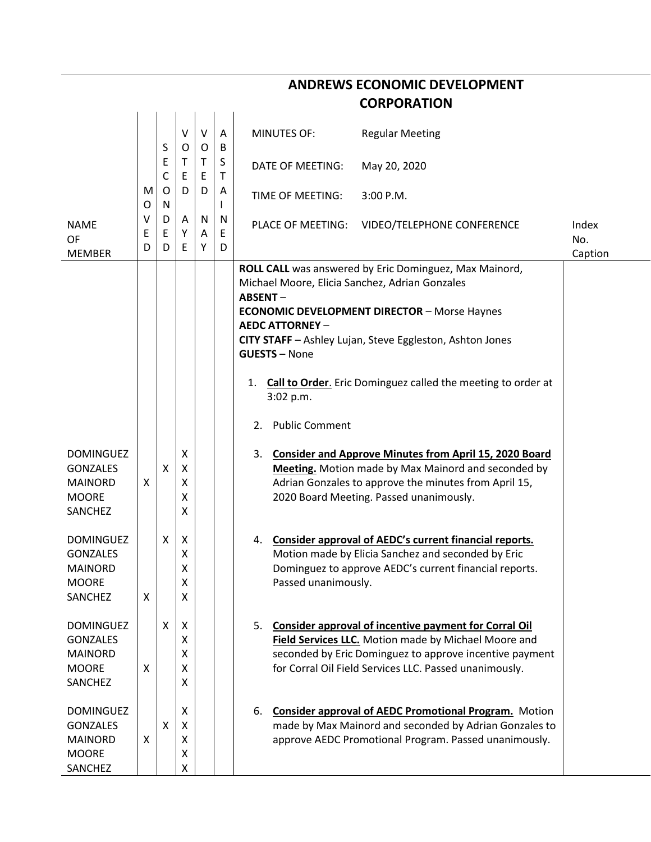|                                                                                         |             |                   |                       |             |             | <b>CORPORATION</b>                                                                                                                                                                                                                                                                                                                                                                                                |              |
|-----------------------------------------------------------------------------------------|-------------|-------------------|-----------------------|-------------|-------------|-------------------------------------------------------------------------------------------------------------------------------------------------------------------------------------------------------------------------------------------------------------------------------------------------------------------------------------------------------------------------------------------------------------------|--------------|
|                                                                                         |             | S                 | V<br>O                | V<br>O      | A<br>B      | <b>MINUTES OF:</b><br><b>Regular Meeting</b>                                                                                                                                                                                                                                                                                                                                                                      |              |
|                                                                                         |             | Ε<br>$\mathsf{C}$ | Τ<br>Ε                | T.<br>E     | S<br>T      | DATE OF MEETING:<br>May 20, 2020                                                                                                                                                                                                                                                                                                                                                                                  |              |
|                                                                                         | M<br>O      | O<br>N            | D                     | D           | A           | TIME OF MEETING:<br>3:00 P.M.                                                                                                                                                                                                                                                                                                                                                                                     |              |
| <b>NAME</b><br><b>OF</b>                                                                | ٧<br>E<br>D | D<br>Ε<br>D       | Α<br>Υ<br>E           | N<br>Α<br>Υ | N<br>E<br>D | PLACE OF MEETING:<br>VIDEO/TELEPHONE CONFERENCE                                                                                                                                                                                                                                                                                                                                                                   | Index<br>No. |
| <b>MEMBER</b>                                                                           |             |                   |                       |             |             | ROLL CALL was answered by Eric Dominguez, Max Mainord,<br>Michael Moore, Elicia Sanchez, Adrian Gonzales<br><b>ABSENT-</b><br><b>ECONOMIC DEVELOPMENT DIRECTOR - Morse Haynes</b><br><b>AEDC ATTORNEY -</b><br>CITY STAFF - Ashley Lujan, Steve Eggleston, Ashton Jones<br><b>GUESTS - None</b><br>Call to Order. Eric Dominguez called the meeting to order at<br>1.<br>3:02 p.m.<br><b>Public Comment</b><br>2. | Caption      |
| <b>DOMINGUEZ</b><br><b>GONZALES</b><br><b>MAINORD</b><br><b>MOORE</b><br>SANCHEZ        | X           | X                 | X<br>X<br>X<br>Χ<br>X |             |             | <b>Consider and Approve Minutes from April 15, 2020 Board</b><br>3.<br><b>Meeting.</b> Motion made by Max Mainord and seconded by<br>Adrian Gonzales to approve the minutes from April 15,<br>2020 Board Meeting. Passed unanimously.                                                                                                                                                                             |              |
| <b>DOMINGUEZ</b><br><b>GONZALES</b><br><b>MAINORD</b><br><b>MOORE</b><br><b>SANCHEZ</b> | X           | X                 | Χ<br>Χ<br>X<br>Χ<br>X |             |             | 4. Consider approval of AEDC's current financial reports.<br>Motion made by Elicia Sanchez and seconded by Eric<br>Dominguez to approve AEDC's current financial reports.<br>Passed unanimously.                                                                                                                                                                                                                  |              |
| <b>DOMINGUEZ</b><br><b>GONZALES</b><br><b>MAINORD</b><br><b>MOORE</b><br>SANCHEZ        | X           | X                 | X<br>X<br>X<br>X<br>X |             |             | 5. Consider approval of incentive payment for Corral Oil<br>Field Services LLC. Motion made by Michael Moore and<br>seconded by Eric Dominguez to approve incentive payment<br>for Corral Oil Field Services LLC. Passed unanimously.                                                                                                                                                                             |              |
| <b>DOMINGUEZ</b><br><b>GONZALES</b><br><b>MAINORD</b><br><b>MOORE</b><br>SANCHEZ        | X           | X                 | X<br>X<br>X<br>X<br>X |             |             | 6. Consider approval of AEDC Promotional Program. Motion<br>made by Max Mainord and seconded by Adrian Gonzales to<br>approve AEDC Promotional Program. Passed unanimously.                                                                                                                                                                                                                                       |              |

**ANDREWS ECONOMIC DEVELOPMENT**